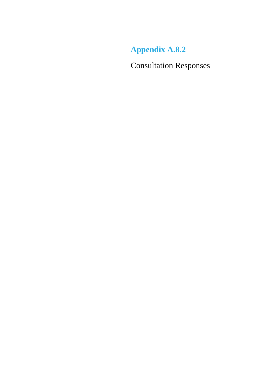**Appendix A.8.2**

Consultation Responses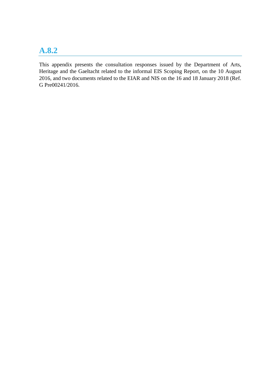# **A.8.2**

This appendix presents the consultation responses issued by the Department of Arts, Heritage and the Gaeltacht related to the informal EIS Scoping Report, on the 10 August 2016, and two documents related to the EIAR and NIS on the 16 and 18 January 2018 (Ref. G Pre00241/2016.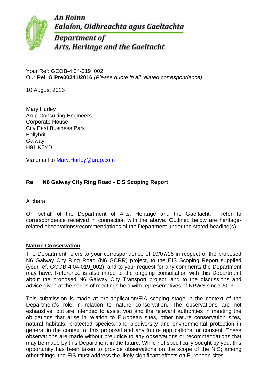**An Roinn** Ealaíon, Oidhreachta agus Gaeltachta



**Department of** Arts, Heritage and the Gaeltacht

Your Ref: GCOB-4.04-019\_002 Our Ref: **G Pre00241/2016** *(Please quote in all related correspondence)*

10 August 2016

Mary Hurley Arup Consulting Engineers Corporate House City East Business Park Ballybrit Galway H91 K5YD

Via email to [Mary.Hurley@arup.com](mailto:Mary.Hurley@arup.com)

# **Re: N6 Galway City Ring Road - EIS Scoping Report**

A chara

On behalf of the Department of Arts, Heritage and the Gaeltacht, I refer to correspondence received in connection with the above. Outlined below are heritagerelated observations/recommendations of the Department under the stated heading(s).

# **Nature Conservation**

The Department refers to your correspondence of 19/07/16 in respect of the proposed N6 Galway City Ring Road (N6 GCRR) project, to the EIS Scoping Report supplied (your ref. GCOB-4.04-019\_002), and to your request for any comments the Department may have. Reference is also made to the ongoing consultation with this Department about the proposed N6 Galway City Transport project, and to the discussions and advice given at the series of meetings held with representatives of NPWS since 2013.

This submission is made at pre-application/EIA scoping stage in the context of the Department's role in relation to nature conservation. The observations are not exhaustive, but are intended to assist you and the relevant authorities in meeting the obligations that arise in relation to European sites, other nature conservation sites, natural habitats, protected species, and biodiversity and environmental protection in general in the context of this proposal and any future applications for consent. These observations are made without prejudice to any observations or recommendations that may be made by this Department in the future. While not specifically sought by you, this opportunity has been taken to provide observations on the scope of the NIS; among other things, the EIS must address the likely significant effects on European sites.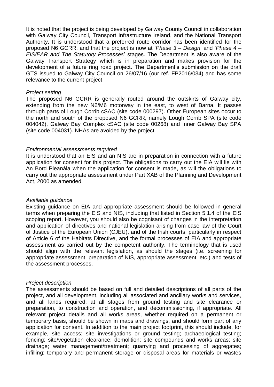It is noted that the project is being developed by Galway County Council in collaboration with Galway City Council, Transport Infrastructure Ireland, and the National Transport Authority. It is understood that a preferred route corridor has been identified for the proposed N6 GCRR, and that the project is now at '*Phase 3 – Design*' and '*Phase 4 – EIS/EAR and The Statutory Processes*' stages. The Department is also aware of the Galway Transport Strategy which is in preparation and makes provision for the development of a future ring road project. The Department's submission on the draft GTS issued to Galway City Council on 26/07/16 (our ref. FP2016/034) and has some relevance to the current project.

#### *Project setting*

The proposed N6 GCRR is generally routed around the outskirts of Galway city, extending from the new N6/M6 motorway in the east, to west of Barna. It passes through parts of Lough Corrib cSAC (site code 000297). Other European sites occur to the north and south of the proposed N6 GCRR, namely Lough Corrib SPA (site code 004042), Galway Bay Complex cSAC (site code 00268) and Inner Galway Bay SPA (site code 004031). NHAs are avoided by the project.

### *Environmental assessments required*

It is understood that an EIS and an NIS are in preparation in connection with a future application for consent for this project. The obligations to carry out the EIA will lie with An Bord Pleanála when the application for consent is made, as will the obligations to carry out the appropriate assessment under Part XAB of the Planning and Development Act, 2000 as amended.

#### *Available guidance*

Existing guidance on EIA and appropriate assessment should be followed in general terms when preparing the EIS and NIS, including that listed in Section 5.1.4 of the EIS scoping report. However, you should also be cognisant of changes in the interpretation and application of directives and national legislation arising from case law of the Court of Justice of the European Union (CJEU), and of the Irish courts, particularly in respect of Article 6 of the Habitats Directive, and the formal processes of EIA and appropriate assessment as carried out by the competent authority. The terminology that is used should align with the relevant legislation, as should the stages (i.e. screening for appropriate assessment, preparation of NIS, appropriate assessment, etc.) and tests of the assessment processes.

### *Project description*

The assessments should be based on full and detailed descriptions of all parts of the project, and all development, including all associated and ancillary works and services, and all lands required, at all stages from ground testing and site clearance or preparation, to construction and operation, and decommissioning, if appropriate. All relevant project details and all works areas, whether required on a permanent or temporary basis, should be shown in maps and drawings, and should form part of any application for consent. In addition to the main project footprint, this should include, for example, site access; site investigations or ground testing; archaeological testing; fencing; site/vegetation clearance; demolition; site compounds and works areas; site drainage; water management/treatment; quarrying and processing of aggregates; infilling; temporary and permanent storage or disposal areas for materials or wastes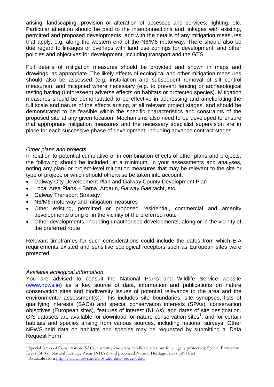arising; landscaping; provision or alteration of accesses and services; lighting, etc. Particular attention should be paid to the interconnections and linkages with existing, permitted and proposed developments, and with the details of any mitigation measures that apply, e.g. along the western end of the N6/M6 motorway. There should also be due regard to linkages or overlaps with land use zonings for development, and other policies and objectives for development, including transport and the GTS.

Full details of mitigation measures should be provided and shown in maps and drawings, as appropriate. The likely effects of ecological and other mitigation measures should also be assessed (e.g. installation and subsequent removal of silt control measures), and mitigated where necessary (e.g. to prevent fencing or archaeological testing having (unforeseen) adverse effects on habitats or protected species). Mitigation measures should be demonstrated to be effective in addressing and ameliorating the full scale and nature of the effects arising, at all relevant project stages, and should be demonstrated to be feasible within the specific characteristics and constraints of the proposed site at any given location. Mechanisms also need to be developed to ensure that appropriate mitigation measures and the necessary specialist supervision are in place for each successive phase of development, including advance contract stages.

## *Other plans and projects*

In relation to potential cumulative or in combination effects of other plans and projects, the following should be included, at a minimum, in your assessments and analyses, noting any plan- or project-level mitigation measures that may be relevant to the site or type of project, or which should otherwise be taken into account:

- Galway City Development Plan and Galway County Development Plan
- Local Area Plans Barna, Ardaun, Galway Gaeltacht, etc.
- Galway Transport Strategy
- N6/M6 motorway and mitigation measures
- Other existing, permitted or proposed residential, commercial and amenity developments along or in the vicinity of the preferred route
- Other developments, including unauthorised developments, along or in the vicinity of the preferred route

Relevant timeframes for such considerations could include the dates from which EIA requirements existed and sensitive ecological receptors such as European sites were protected.

### *Available ecological information*

-

You are advised to consult the National Parks and Wildlife Service website [\(www.npws.ie\)](http://www.npws.ie/) as a key source of data, information and publications on nature conservation sites and biodiversity issues of potential relevance to the area and the environmental assessment(s). This includes site boundaries, site synopses, lists of qualifying interests (SACs) and special conservation interests (SPAs), conservation objectives (European sites), features of interest (NHAs), and dates of site designation. GIS datasets are available for download for nature conservation sites<sup>1</sup>, and for certain habitats and species arising from various sources, including national surveys. Other NPWS-held data on habitats and species may be requested by submitting a 'Data Request Form<sup>'2</sup>.

<sup>1</sup> Special Areas of Conservation (SACs, currently known as candidate sites but fully legally protected); Special Protection Areas (SPAs); Natural Heritage Areas (NHAs); and proposed Natural Heritage Areas (pNHAs)

<sup>2</sup> Available from<http://www.npws.ie/maps-and-data/request-data>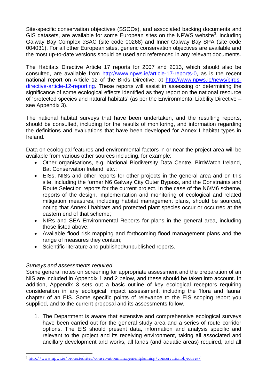Site-specific conservation objectives (SSCOs), and associated backing documents and GIS datasets, are available for some European sites on the NPWS website<sup>3</sup>, including Galway Bay Complex cSAC (site code 00268) and Inner Galway Bay SPA (site code 004031). For all other European sites, generic conservation objectives are available and the most up-to-date versions should be used and referenced in any relevant documents.

The Habitats Directive Article 17 reports for 2007 and 2013, which should also be consulted, are available from [http://www.npws.ie/article-17-reports-0,](http://www.npws.ie/article-17-reports-0) as is the recent national report on Article 12 of the Birds Directive, at [http://www.npws.ie/news/birds](http://www.npws.ie/news/birds-directive-article-12-reporting)[directive-article-12-reporting.](http://www.npws.ie/news/birds-directive-article-12-reporting) These reports will assist in assessing or determining the significance of some ecological effects identified as they report on the national resource of 'protected species and natural habitats' (as per the Environmental Liability Directive – see Appendix 3).

The national habitat surveys that have been undertaken, and the resulting reports, should be consulted, including for the results of monitoring, and information regarding the definitions and evaluations that have been developed for Annex I habitat types in Ireland.

Data on ecological features and environmental factors in or near the project area will be available from various other sources including, for example:

- Other organisations, e.g. National Biodiversity Data Centre, BirdWatch Ireland, Bat Conservation Ireland, etc.;
- EISs, NISs and other reports for other projects in the general area and on this site, including the former N6 Galway City Outer Bypass, and the Constraints and Route Selection reports for the current project. In the case of the N6/M6 scheme, reports of the design, implementation and monitoring of ecological and related mitigation measures, including habitat management plans, should be sourced, noting that Annex I habitats and protected plant species occur or occurred at the eastern end of that scheme;
- NIRs and SEA Environmental Reports for plans in the general area, including those listed above;
- Available flood risk mapping and forthcoming flood management plans and the range of measures they contain;
- Scientific literature and published/unpublished reports.

# *Surveys and assessments required*

-

Some general notes on screening for appropriate assessment and the preparation of an NIS are included in Appendix 1 and 2 below, and these should be taken into account. In addition, Appendix 3 sets out a basic outline of key ecological receptors requiring consideration in any ecological impact assessment, including the 'flora and fauna' chapter of an EIS. Some specific points of relevance to the EIS scoping report you supplied, and to the current proposal and its assessments follow.

1. The Department is aware that extensive and comprehensive ecological surveys have been carried out for the general study area and a series of route corridor options. The EIS should present data, information and analysis specific and relevant to the project and its receiving environment, taking all associated and ancillary development and works, all lands (and aquatic areas) required, and all

<sup>3</sup> <http://www.npws.ie/protectedsites/conservationmanagementplanning/conservationobjectives/>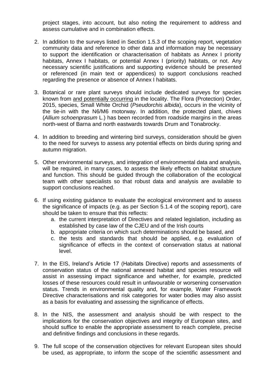project stages, into account, but also noting the requirement to address and assess cumulative and in combination effects.

- 2. In addition to the surveys listed in Section 1.5.3 of the scoping report, vegetation community data and reference to other data and information may be necessary to support the identification or characterisation of habitats as Annex I priority habitats, Annex I habitats, or potential Annex I (priority) habitats, or not. Any necessary scientific justifications and supporting evidence should be presented or referenced (in main text or appendices) to support conclusions reached regarding the presence or absence of Annex I habitats.
- 3. Botanical or rare plant surveys should include dedicated surveys for species known from and potentially occurring in the locality. The Flora (Protection) Order, 2015, species, Small White Orchid (*Pseudorchis albida*), occurs in the vicinity of the tie-in with the N6/M6 motorway. In addition, the protected plant, chives (*Allium schoenprasum* L.) has been recorded from roadside margins in the areas north-west of Barna and north eastwards towards Drum and Tonabrocky.
- 4. In addition to breeding and wintering bird surveys, consideration should be given to the need for surveys to assess any potential effects on birds during spring and autumn migration.
- 5. Other environmental surveys, and integration of environmental data and analysis, will be required, in many cases, to assess the likely effects on habitat structure and function. This should be guided through the collaboration of the ecological team with other specialists so that robust data and analysis are available to support conclusions reached.
- 6. If using existing guidance to evaluate the ecological environment and to assess the significance of impacts (e.g. as per Section 5.1.4 of the scoping report), care should be taken to ensure that this reflects:
	- a. the current interpretation of Directives and related legislation, including as established by case law of the CJEU and of the Irish courts
	- b. appropriate criteria on which such determinations should be based, and
	- c. the tests and standards that should be applied, e.g. evaluation of significance of effects in the context of conservation status at national level.
- 7. In the EIS, Ireland's Article 17 (Habitats Directive) reports and assessments of conservation status of the national annexed habitat and species resource will assist in assessing impact significance and whether, for example, predicted losses of these resources could result in unfavourable or worsening conservation status. Trends in environmental quality and, for example, Water Framework Directive characterisations and risk categories for water bodies may also assist as a basis for evaluating and assessing the significance of effects.
- 8. In the NIS, the assessment and analysis should be with respect to the implications for the conservation objectives and integrity of European sites, and should suffice to enable the appropriate assessment to reach complete, precise and definitive findings and conclusions in these regards.
- 9. The full scope of the conservation objectives for relevant European sites should be used, as appropriate, to inform the scope of the scientific assessment and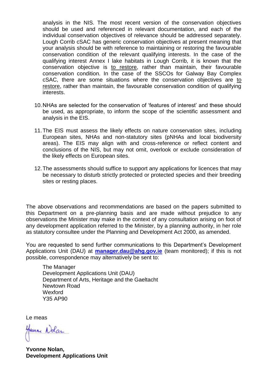analysis in the NIS. The most recent version of the conservation objectives should be used and referenced in relevant documentation, and each of the individual conservation objectives of relevance should be addressed separately. Lough Corrib cSAC has generic conservation objectives at present meaning that your analysis should be with reference to maintaining or restoring the favourable conservation condition of the relevant qualifying interests. In the case of the qualifying interest Annex I lake habitats in Lough Corrib, it is known that the conservation objective is to restore, rather than maintain, their favourable conservation condition. In the case of the SSCOs for Galway Bay Complex cSAC, there are some situations where the conservation objectives are to restore, rather than maintain, the favourable conservation condition of qualifying interests.

- 10.NHAs are selected for the conservation of 'features of interest' and these should be used, as appropriate, to inform the scope of the scientific assessment and analysis in the EIS.
- 11.The EIS must assess the likely effects on nature conservation sites, including European sites, NHAs and non-statutory sites (pNHAs and local biodiversity areas). The EIS may align with and cross-reference or reflect content and conclusions of the NIS, but may not omit, overlook or exclude consideration of the likely effects on European sites.
- 12.The assessments should suffice to support any applications for licences that may be necessary to disturb strictly protected or protected species and their breeding sites or resting places.

The above observations and recommendations are based on the papers submitted to this Department on a pre-planning basis and are made without prejudice to any observations the Minister may make in the context of any consultation arising on foot of any development application referred to the Minister, by a planning authority, in her role as statutory consultee under the Planning and Development Act 2000, as amended.

You are requested to send further communications to this Department's Development Applications Unit (DAU) at **[manager.dau@ahg.gov.ie](mailto:manager.dau@ahg.gov.ie)** (team monitored); if this is not possible, correspondence may alternatively be sent to:

The Manager Development Applications Unit (DAU) Department of Arts, Heritage and the Gaeltacht Newtown Road Wexford Y35 AP90

Le meas

Honne Nolan

**Yvonne Nolan, Development Applications Unit**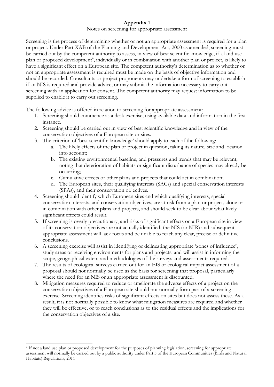# **Appendix 1**

#### Notes on screening for appropriate assessment

Screening is the process of determining whether or not an appropriate assessment is required for a plan or project. Under Part XAB of the Planning and Development Act, 2000 as amended, screening must be carried out by the competent authority to assess, in view of best scientific knowledge, if a land use plan or proposed development<sup>4</sup>, individually or in combination with another plan or project, is likely to have a significant effect on a European site. The competent authority's determination as to whether or not an appropriate assessment is required must be made on the basis of objective information and should be recorded. Consultants or project proponents may undertake a form of screening to establish if an NIS is required and provide advice, or may submit the information necessary to carry out screening with an application for consent. The competent authority may request information to be supplied to enable it to carry out screening.

The following advice is offered in relation to screening for appropriate assessment:

- 1. Screening should commence as a desk exercise, using available data and information in the first instance.
- 2. Screening should be carried out in view of best scientific knowledge and in view of the conservation objectives of a European site or sites.
- 3. The criterion of 'best scientific knowledge' should apply to each of the following:
	- a. The likely effects of the plan or project in question, taking its nature, size and location into account;
	- b. The existing environmental baseline, and pressures and trends that may be relevant, noting that deterioration of habitats or significant disturbance of species may already be occurring;
	- c. Cumulative effects of other plans and projects that could act in combination;
	- d. The European sites, their qualifying interests (SACs) and special conservation interests (SPAs), and their conservation objectives.
- 4. Screening should identify which European sites and which qualifying interests, special conservation interests, and conservation objectives, are at risk from a plan or project, alone or in combination with other plans and projects, and should seek to be clear about what likely significant effects could result.
- 5. If screening is overly precautionary, and risks of significant effects on a European site in view of its conservation objectives are not actually identified, the NIS (or NIR) and subsequent appropriate assessment will lack focus and be unable to reach any clear, precise or definitive conclusions.
- 6. A screening exercise will assist in identifying or delineating appropriate 'zones of influence', study areas or receiving environments for plans and projects, and will assist in informing the scope, geographical extent and methodologies of the surveys and assessments required.
- 7. The results of ecological surveys carried out for an EIS or ecological impact assessment of a proposal should not normally be used as the basis for screening that proposal, particularly where the need for an NIS or an appropriate assessment is discounted.
- 8. Mitigation measures required to reduce or ameliorate the adverse effects of a project on the conservation objectives of a European site should not normally form part of a screening exercise. Screening identifies risks of significant effects on sites but does not assess these. As a result, it is not normally possible to know what mitigation measures are required and whether they will be effective, or to reach conclusions as to the residual effects and the implications for the conservation objectives of a site.

-

<sup>4</sup> If not a land use plan or proposed development for the purposes of planning legislation, screening for appropriate assessment will normally be carried out by a public authority under Part 5 of the European Communities (Birds and Natural Habitats) Regulations, 2011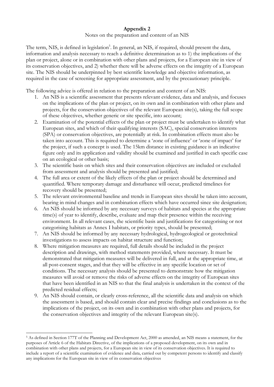# **Appendix 2**

Notes on the preparation and content of an NIS

The term, NIS, is defined in legislation<sup>5</sup>. In general, an NIS, if required, should present the data, information and analysis necessary to reach a definitive determination as to 1) the implications of the plan or project, alone or in combination with other plans and projects, for a European site in view of its conservation objectives, and 2) whether there will be adverse effects on the integrity of a European site. The NIS should be underpinned by best scientific knowledge and objective information, as required in the case of screening for appropriate assessment, and by the precautionary principle.

The following advice is offered in relation to the preparation and content of an NIS:

- 1. An NIS is a scientific assessment that presents relevant evidence, data and analysis, and focuses on the implications of the plan or project, on its own and in combination with other plans and projects, for the conservation objectives of the relevant European site(s), taking the full scope of these objectives, whether generic or site specific, into account;
- 2. Examination of the potential effects of the plan or project must be undertaken to identify what European sites, and which of their qualifying interests (SAC), special conservation interests (SPA) or conservation objectives, are potentially at risk. In combination effects must also be taken into account. This is required to determine a 'zone of influence' or 'zone of impact' for the project, if such a concept is used. The 15km distance in existing guidance is an indicative figure only and its application and validity should be examined and justified in each specific case on an ecological or other basis;
- 3. The scientific basis on which sites and their conservation objectives are included or excluded from assessment and analysis should be presented and justified;
- 4. The full area or extent of the likely effects of the plan or project should be determined and quantified. Where temporary damage and disturbance will occur, predicted timelines for recovery should be presented;
- 5. The relevant environmental baseline and trends in European sites should be taken into account, bearing in mind changes and in combination effects which have occurred since site designation;
- 6. An NIS should be informed by any necessary surveys of habitats and species at the appropriate time(s) of year to identify, describe, evaluate and map their presence within the receiving environment. In all relevant cases, the scientific basis and justifications for categorising or not categorising habitats as Annex I habitats, or priority types, should be presented;
- 7. An NIS should be informed by any necessary hydrological, hydrogeological or geotechnical investigations to assess impacts on habitat structure and function;
- 8. Where mitigation measures are required, full details should be included in the project description and drawings, with method statements provided, where necessary. It must be demonstrated that mitigation measures will be delivered in full, and at the appropriate time, at all post-consent stages, and that they will be effective in any specific location or set of conditions. The necessary analysis should be presented to demonstrate how the mitigation measures will avoid or remove the risks of adverse effects on the integrity of European sites that have been identified in an NIS so that the final analysis is undertaken in the context of the predicted residual effects;
- 9. An NIS should contain, or clearly cross-reference, all the scientific data and analysis on which the assessment is based, and should contain clear and precise findings and conclusions as to the implications of the project, on its own and in combination with other plans and projects, for the conservation objectives and integrity of the relevant European site(s).

-

<sup>5</sup> As defined in Section 177T of the Planning and Development Act, 2000 as amended, an NIS means a statement, for the purposes of Article 6 of the Habitats Directive, of the implications of a proposed development, on its own and in combination with other plans and projects, for a European site in view of its conservation objectives. It is required to include a report of a scientific examination of evidence and data, carried out by competent persons to identify and classify any implications for the European site in view of its conservation objectives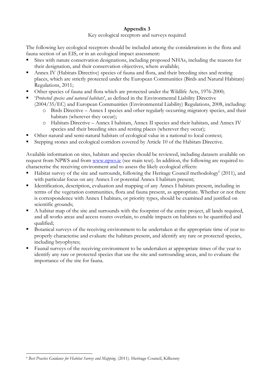# **Appendix 3**

Key ecological receptors and surveys required

The following key ecological receptors should be included among the considerations in the flora and fauna section of an EIS, or in an ecological impact assessment:

- Sites with nature conservation designations, including proposed NHAs, including the reasons for their designation, and their conservation objectives, where available;
- Annex IV (Habitats Directive) species of fauna and flora, and their breeding sites and resting places, which are strictly protected under the European Communities (Birds and Natural Habitats) Regulations, 2011;
- Other species of fauna and flora which are protected under the Wildlife Acts, 1976-2000;
- '*Protected species and natural habitats*', as defined in the Environmental Liability Directive
	- (2004/35/EC) and European Communities (Environmental Liability) Regulations, 2008, including:
		- o Birds Directive Annex I species and other regularly occurring migratory species, and their habitats (wherever they occur);
		- o Habitats Directive Annex I habitats, Annex II species and their habitats, and Annex IV species and their breeding sites and resting places (wherever they occur);
- Other natural and semi-natural habitats of ecological value in a national to local context;
- Stepping stones and ecological corridors covered by Article 10 of the Habitats Directive.

Available information on sites, habitats and species should be reviewed, including datasets available on request from NPWS and from [www.npws.ie](http://www.npws.ie/) (see main text). In addition, the following are required to characterise the receiving environment and to assess the likely ecological effects:

- Habitat survey of the site and surrounds, following the Heritage Council methodology<sup>6</sup> (2011), and with particular focus on any Annex I or potential Annex I habitats present;
- Identification, description, evaluation and mapping of any Annex I habitats present, including in terms of the vegetation communities, flora and fauna present, as appropriate. Whether or not there is correspondence with Annex I habitats, or priority types, should be examined and justified on scientific grounds;
- A habitat map of the site and surrounds with the footprint of the entire project, all lands required, and all works areas and access routes overlain, to enable impacts on habitats to be quantified and qualified;
- Botanical surveys of the receiving environment to be undertaken at the appropriate time of year to properly characterise and evaluate the habitats present, and identify any rare or protected species, including bryophytes;
- Faunal surveys of the receiving environment to be undertaken at appropriate times of the year to identify any rare or protected species that use the site and surrounding areas, and to evaluate the importance of the site for fauna.

-

<sup>6</sup> *Best Practice Guidance for Habitat Survey and Mapping*. (2011). Heritage Council, Kilkenny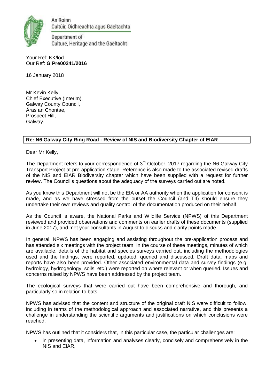

An Roinn Cultúir, Oidhreachta agus Gaeltachta

Department of Culture, Heritage and the Gaeltacht

#### Your Ref: KK/lod Our Ref: **G Pre00241/2016**

16 January 2018

Mr Kevin Kelly, Chief Executive (Interim), Galway County Council, Áras an Chontae, Prospect Hill, Galway.

# **Re: N6 Galway City Ring Road - Review of NIS and Biodiversity Chapter of EIAR**

Dear Mr Kelly,

The Department refers to your correspondence of 3<sup>rd</sup> October, 2017 regarding the N6 Galway City Transport Project at pre-application stage. Reference is also made to the associated revised drafts of the NIS and EIAR Biodiversity chapter which have been supplied with a request for further review. The Council's questions about the adequacy of the surveys carried out are noted.

As you know this Department will not be the EIA or AA authority when the application for consent is made, and as we have stressed from the outset the Council (and TII) should ensure they undertake their own reviews and quality control of the documentation produced on their behalf.

As the Council is aware, the National Parks and Wildlife Service (NPWS) of this Department reviewed and provided observations and comments on earlier drafts of these documents (supplied in June 2017), and met your consultants in August to discuss and clarify points made.

In general, NPWS has been engaging and assisting throughout the pre-application process and has attended six meetings with the project team. In the course of these meetings, minutes of which are available, details of the habitat and species surveys carried out, including the methodologies used and the findings, were reported, updated, queried and discussed. Draft data, maps and reports have also been provided. Other associated environmental data and survey findings (e.g. hydrology, hydrogeology, soils, etc.) were reported on where relevant or when queried. Issues and concerns raised by NPWS have been addressed by the project team.

The ecological surveys that were carried out have been comprehensive and thorough, and particularly so in relation to bats.

NPWS has advised that the content and structure of the original draft NIS were difficult to follow, including in terms of the methodological approach and associated narrative, and this presents a challenge in understanding the scientific arguments and justifications on which conclusions were reached.

NPWS has outlined that it considers that, in this particular case, the particular challenges are:

 in presenting data, information and analyses clearly, concisely and comprehensively in the NIS and EIAR,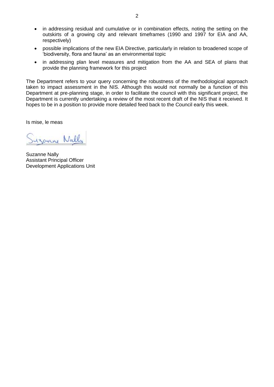- in addressing residual and cumulative or in combination effects, noting the setting on the outskirts of a growing city and relevant timeframes (1990 and 1997 for EIA and AA, respectively)
- possible implications of the new EIA Directive, particularly in relation to broadened scope of 'biodiversity, flora and fauna' as an environmental topic
- in addressing plan level measures and mitigation from the AA and SEA of plans that provide the planning framework for this project

The Department refers to your query concerning the robustness of the methodological approach taken to impact assessment in the NIS. Although this would not normally be a function of this Department at pre-planning stage, in order to facilitate the council with this significant project, the Department is currently undertaking a review of the most recent draft of the NIS that it received. It hopes to be in a position to provide more detailed feed back to the Council early this week.

Is mise, le meas

uzanne Nally

Suzanne Nally Assistant Principal Officer Development Applications Unit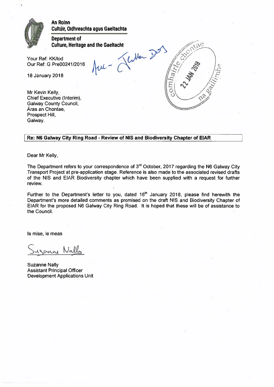

#### Re: N6 Galway City Ring Road - Review of NIS and Biodiversity Chapter of EIAR

Dear Mr Kelly,

The Department refers to your correspondence of 3rd October, 2017 regarding the N6 Galway City Transport Project at pre-application stage. Reference is also made to the associated revised drafts of the NIS and EIAR Biodiversity chapter which have been supplied with a request for further review.

Further to the Department's letter to you, dated 16<sup>th</sup> January 2018, please find herewith the Department's more detailed comments as promised on the draft NIS and Biodiversity Chapter of EIAR for the proposed N6 Galway City Ring Road. It is hoped that these will be of assistance to the Council.

Is mise, le meas

curre Nall

**Suzanne Nally Assistant Principal Officer Development Applications Unit**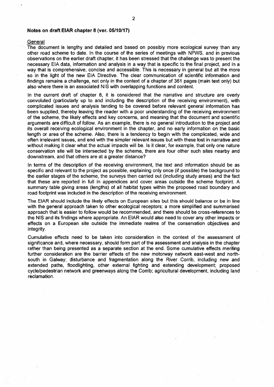#### Notes on draft EIAR chapter 8 (ver. 05/10/17)

#### General

The document is lengthy and detailed and based on possibly more ecological survey than any other road scheme to date. In the course of the series of meetings with NPWS, and in previous observations on the earlier draft chapter, it has been stressed that the challenge was to present the necessary EIA data, information and analysis in a way that is specific to the final project, and in a way that is comprehensive, concise and accessible. This is necessary in general but all the more so in the light of the new EIA Directive. The clear communication of scientific information and findings remains a challenge, not only in the context of a chapter of 361 pages (main text only) but also where there is an associated NIS with overlapping functions and content.

In the current draft of chapter 8, it is considered that the narrative and structure are overly convoluted (particularly up to and including the description of the receiving environment), with complicated issues and analysis tending to be covered before relevant general information has been supplied, thereby leaving the reader with a poor understanding of the receiving environment of the scheme, the likely effects and key concerns, and meaning that the document and scientific arguments are difficult of follow. As an example, there is no general introduction to the project and its overall receiving ecological environment in the chapter, and no early information on the basic length or area of the scheme. Also, there is a tendency to begin with the complicated, wide and often irrelevant issues, and end with the simpler relevant issues but with these lost in narrative and without making it clear what the actual impacts will be. Is it clear, for example, that only one nature conservation site will be intersected by the scheme, there are four other such sites nearby and downstream, and that others are at a greater distance?

In terms of the description of the receiving environment, the text and information should be as specific and relevant to the project as possible, explaining only once (if possible) the background to the earlier stages of the scheme, the surveys then carried out (including study areas) and the fact that these are reported in full in appendices and cover areas outside the scheme footprint. A summary table giving areas (lengths) of all habitat types within the proposed road boundary and road footprint was included in the description of the receiving environment.

The EIAR should include the likely effects on European sites but this should balance or be in line with the general approach taken to other ecological receptors; a more simplified and summarised approach that is easier to follow would be recommended, and there should be cross-references to the NIS and its findings where appropriate. An EIAR would also need to cover any other impacts or effects on a European site outside the immediate realms of the conservation objectives and integrity.

Cumulative effects need to be taken into consideration in the context of the assessment of significance and, where necessary, should form part of the assessment and analysis in the chapter rather than being presented as a separate section at the end. Some cumulative effects meriting further consideration are the barrier effects of the new motorway network east-west and northsouth in Galway; disturbance and fragmentation along the River Corrib, including new and extended paths, floodlighting, other external lighting and extending development; proposed cycle/pedestrian network and greenways along the Corrib; agricultural development, including land reclamation.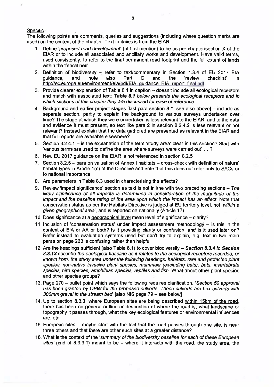#### **Specific**

The following points are comments, queries and suggestions (including where question marks are used) on the content of the chapter. Text in italics is from the EIAR.

- 1. Define 'proposed road development' (at first mention) to be as per chapter/section X of the EIAR or to include all associated and ancillary works and development. Have valid terms, used consistently, to refer to the final permanent road footprint and the full extent of lands within the 'fencelines'
- 2. Definition of biodiversity refer to text/commentary in Section 1.3.4 of EU 2017 EIA quidance. and note also Part  $\mathbf C$ and the 'review checklist' in. http://ec.europa.eu/environment/eia/pdf/EIA quidance EIA report final.pdf
- 3. Provide clearer explanation of Table 8.1 in caption doesn't include all ecological receptors and match with associated text: Table 8.1 below presents the ecological receptors and in which sections of this chapter they are discussed for ease of reference
- 4. Background and earlier project stages [last para section 8.1; see also above] include as separate section, partly to explain the background to various surveys undertaken over time? The stage at which they were undertaken is less relevant to the EIAR, and to the data and evidence it must present, so text like para 2 in section 8.2.4.2 is less relevant or not relevant? Instead explain that the data gathered are presented as relevant in the EIAR and that full reports are available elsewhere?
- 5. Section 8.2.4.1 is the explanation of the term 'study area' clear in this section? Start with 'various terms are used to define the area where surveys were carried out' ...?
- 6. New EU 2017 guidance on the EIAR is not referenced in section 8.2.5
- 7. Section 8.2.5 para on valuation of Annex I habitats cross-check with definition of natural habitat types in Article 1(c) of the Directive and note that this does not refer only to SACs or to national importance
- 8. Are parameters in Table 8.3 used in characterising the effects?
- 9. Review 'impact significance' section as text is not in line with two preceding sections  $-$  The likely significance of all impacts is determined in consideration of the magnitude of the impact and the baseline rating of the area upon which the impact has an effect. Note that conservation status as per the Habitats Directive is judged at EU territory level, not 'within a given geographical area', and is reported on nationally (Article 17)
- 10. Does significance at a geographical level mean level of significance clarify?
- 11. Inclusion of 'conservation status' under impact assessment methodology is this in the context of EIA or AA or both? Is it providing clarity or confusion, and is it used later on? Refer instead to evaluation systems used but don't try to explain, e.g. text in two main paras on page 263 is confusing rather than helpful
- 12. Are the headings sufficient (also Table 8.1) to cover biodiversity Section 8.3.4 to Section 8.3.13 describe the ecological baseline as it relates to the ecological receptors recorded, or known from, the study area under the following headings; habitats, rare and protected plant species, non-native invasive plant species, mammals (excluding bats), bats, invertebrate species, bird species, amphibian species, reptiles and fish. What about other plant species and other species groups?
- 13. Page 270 bullet point which says the following requires clarification, 'Section 50 approval has been granted by OPW for the proposed culverts. These culverts are box culverts with 300mm gravel in the stream bed' [also NIS page 79 - see below]
- 14. Up to section 8.3.3, where European sites are being described within 15km of the road, there has been no general outline or description of where the road is, what landscape or topography it passes through, what the key ecological features or environmental influences are etc.
- 15. European sites maybe start with the fact that the road passes through one site, is near three others and that there are other such sites at a greater distance?
- 16. What is the context of the 'summary of the biodiversity baseline for each of these European sites' (end of 8.3.3.1) meant to be  $-$  where it interacts with the road, the study area, the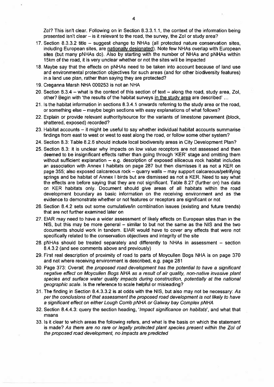Zol? This isn't clear. Following on in Section 8.3.3.1.1, the context of the information being presented isn't clear – is it relevant to the road, the survey, the Zol or study area?

- 17. Section 8.3.3.2 title suggest change to NHAs (all protected nature conservation sites, including European sites, are nationally designated). Note few NHAs overlap with European sites (but many pNHAs do). Also by starting with the number of NHAs and pNHAs within 15km of the road, it is very unclear whether or not the sites will be impacted
- 18. Maybe say that the effects on pNHAs need to be taken into account because of land use and environmental protection objectives for such areas (and for other biodiversity features) in a land use plan, rather than saying they are protected?
- 19. Creganna Marsh NHA 000253 is not an NHA
- 20. Section 8.3.4 what is the context of this section of text along the road, study area, Zol, other? Begin with 'the results of the habitat surveys in the study area are described' ...
- 21. Is the habitat information in sections 8.3.4.1 onwards referring to the study area or the road. or something else – maybe begin sections with easy explanations of what follows?
- 22. Explain or provide relevant authority/source for the variants of limestone payement (block. shattered, exposed) recorded?
- 23. Habitat accounts it might be useful to say whether individual habitat accounts summarise findings from east to west or west to east along the road, or follow some other system?
- 24. Section 8.3: Table 8.2.6 should include local biodiversity areas in City Development Plan?
- 25. Section 8.3: it is unclear why impacts on low value receptors are not assessed and then deemed to be insignificant effects rather than going through 'KER' stage and omitting them without sufficient explanation - e.g. description of exposed siliceous rock habitat includes an association with Annex I habitats on page 287 but then dismisses it as not a KER on page 355; also exposed calcareous rock - quarry walls - may support calcareous/petrifying springs and be habitat of Annex I birds but are dismissed as not a KER. Need to say what the effects are before saying that they are not significant. Table 8.27 (further on) has data on KER habitats only. Document should give areas of all habitats within the road development boundary as basic information on the receiving environment and as the evidence to demonstrate whether or not features or receptors are significant or not
- 26. Section 8.4.2 sets out some cumulative/in combination issues (existing and future trends) that are not further examined later on
- 27. EIAR may need to have a wider assessment of likely effects on European sites than in the NIS, but this may be more general - similar to but not the same as the NIS and the two documents should work in tandem. EIAR would have to cover any effects that were not specifically related to the conservation objectives and integrity of the site
- 28 pNHAs should be treated separately and differently to NHAs in assessment section 8.4.3.2 (and see comments above and previously)
- 29. First real description of proximity of road to parts of Moycullen Bogs NHA is on page 370 and not where receiving environment is described, e.g. page 281
- 30. Page 373: Overall, the proposed road development has the potential to have a significant negative effect on Moycullen Bogs NHA as a result of air quality, non-native invasive plant species and surface water quality impacts during construction, potentially at the national geographic scale. Is the reference to scale helpful or misleading?
- 31. The finding in Section 8.4.3.3.2 is at odds with the NIS, but also may not be necessary: As per the conclusions of that assessment the proposed road development is not likely to have a significant effect on either Lough Corrib pNHA or Galway bay Complex pNHA
- 32. Section 8.4.4.3: query the section heading, 'Impact significance on habitats', and what that means
- 33. Is it clear to which areas the following refers, and what is the basis on which the statement is made? As there are no rare or legally protected plant species present within the Zol of the proposed road development, no impacts are predicted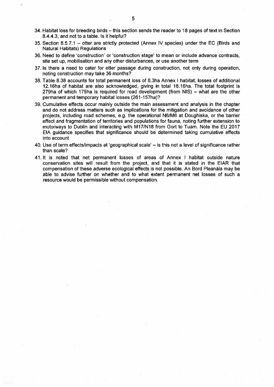- 34. Habitat loss for breeding birds this section sends the reader to 18 pages of text in Section 8.4.4.3, and not to a table. Is it helpful?
- 35. Section 8.5.7.1 otter are strictly protected (Annex IV species) under the EC (Birds and **Natural Habitats) Regulations**
- 36. Need to define 'construction' or 'construction stage' to mean or include advance contracts, site set up, mobilisation and any other disturbances, or use another term
- 37. Is there a need to cater for otter passage during construction, not only during operation, noting construction may take 36 months?
- 38. Table 8.38 accounts for total permanent loss of 6.3ha Annex | habitat; losses of additional 12.16ha of habitat are also acknowledged, giving in total 18.16ha. The total footprint is 279ha of which 175ha is required for road development (from NIS) – what are the other permanent and temporary habitat losses (261-157ha)?
- 39. Cumulative effects occur mainly outside the main assessment and analysis in the chapter and do not address matters such as implications for the mitigation and avoidance of other projects, including road schemes, e.g. the operational N6/M6 at Doughiska, or the barrier effect and fragmentation of territories and populations for fauna, noting further extension to motorways to Dublin and interacting with M17/N18 from Gort to Tuam. Note the EU 2017 EIA guidance specifies that significance should be determined taking cumulative effects into account
- 40. Use of term effects/impacts at 'geographical scale'  $-$  is this not a level of significance rather than scale?
- 41. It is noted that net permanent losses of areas of Annex I habitat outside nature conservation sites will result from the project, and that it is stated in the EIAR that compensation of these adverse ecological effects is not possible. An Bord Pleanála may be able to advise further on whether and to what extent permanent net losses of such a resource would be permissible without compensation.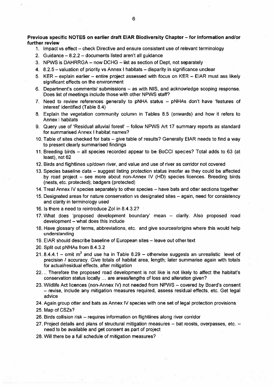Previous specific NOTES on earlier draft EIAR Biodiversity Chapter - for information and/or further review

- 1. Impact vs effect check Directive and ensure consistent use of relevant terminology
- 2. Guidance  $-8.2.2 -$  documents listed aren't all quidance
- 3. NPWS is DAHRRGA now DCHG list as section of Dept, not separately
- 4. 8.2.5 valuation of priority vs Annex I habitats disparity in significance unclear
- 5. KER explain earlier entire project assessed with focus on KER EIAR must ass likely significant effects on the environment
- 6. Department's comments/ submissions as with NIS, and acknowledge scoping response. Does list of meetings include those with other NPWS staff?
- 7. Need to review references generally to pNHA status  $-$  pNHAs don't have 'features of interest' identified (Table 8.4)
- 8. Explain the vegetation community column in Tables 8.5 (onwards) and how it refers to Annex I habitats
- 9. Query use of 'Residual alluvial forest' follow NPWS Art 17 summary reports as standard for summarised Annex I habitat names?
- 10. Table of sites checked for bats give table of results? Generally EIAR needs to find a way to present clearly summarised findings
- 11. Breeding birds all species recorded appear to be BoCCI species? Total adds to 63 (at least), not 62
- 12. Birds and flightlines up/down river, and value and use of river as corridor not covered
- 13. Species baseline data suggest listing protection status insofar as they could be affected by road project - see more about non-Annex IV (HD) species licences. Breeding birds (nests, etc. protected); badgers (protected)
- 14. Treat Annex IV species separately to other species have bats and otter sections together
- 15. Designated areas for nature conservation vs designated sites again, need for consistency and clarity in terminology used
- 16. Is there a need to reintroduce Zol in 8.4.3.2?
- 17. What does 'proposed development boundary' mean -- clarify. Also proposed road development - what does this include
- 18. Have glossary of terms, abbreviations, etc. and give sources/origins where this would help understanding
- 19. EIAR should describe baseline of European sites leave out other text
- 20. Split out pNHAs from 8.4.3.2
- 21.8.4.4.1 omit m<sup>2</sup> and use ha in Table 8.29 otherwise suggests an unrealistic level of precision / accuracy. Give totals of habitat area, length; later summarise again with totals for actual/residual effects, after mitigation
- 22... Therefore the proposed road development is not like is not likely to affect the habitat's conservation status locally ... are areas/lengths of loss and alteration given?
- 23. Wildlife Act licences (non-Annex IV) not needed from NPWS covered by Board's consent - revise, include any mitigation measures required, assess residual effects, etc. Get legal advice
- 24. Again group otter and bats as Annex IV species with one set of legal protection provisions
- 25. Map of CSZs?
- 26. Birds collision risk requires information on flightlines along river corridor
- 27. Project details and plans of structural mitigation measures bat roosts, overpasses, etc. need to be available and get consent as part of project
- 28. Will there be a full schedule of mitigation measures?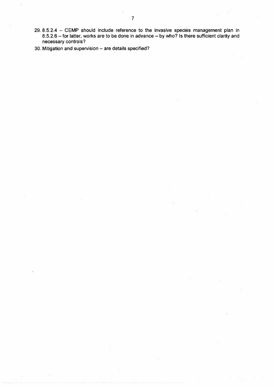- $29.8.5.2.4$  CEMP should include reference to the invasive species management plan in 8.5.2.6 – for latter, works are to be done in advance – by who? Is there sufficient clarity and necessary controls?
- 30. Mitigation and supervision are details specified?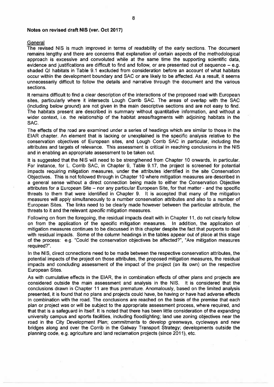#### Notes on revised draft NIS (ver. Oct 2017)

#### General

The revised NIS is much improved in terms of readability of the early sections. The document remains lengthy and there are concerns that explanation of certain aspects of the methodological approach is excessive and convoluted while at the same time the supporting scientific data. evidence and justifications are difficult to find and follow, or are presented out of sequence  $-$  e.g. shaded QI habitats in Table 9.1 excluded from consideration before an account of what habitats occur within the development boundary and SAC or are likely to be affected. As a result, it seems unnecessarily difficult to follow the details and narrative through the document and the various sections.

It remains difficult to find a clear description of the interactions of the proposed road with European sites, particularly where it intersects Lough Corrib SAC. The areas of overlap with the SAC (including below ground) are not given in the main descriptive sections and are not easy to find. The habitats present are described in summary without quantitative information, and without a wider context, i.e. the relationship of the habitat areas/fragments with adjoining habitats in the SAC.

The effects of the road are examined under a series of headings which are similar to those in the EIAR chapter. An element that is lacking or unexplained is the specific analysis relative to the conservation objectives of European sites, and Lough Corrib SAC in particular, including the attributes and targets of relevance. This assessment is critical in reaching conclusions in the NIS and in enabling an appropriate assessment to be taken out.

It is suggested that the NIS will need to be strengthened from Chapter 10 onwards, in particular, For instance, for L. Corrib SAC, in Chapter 9, Table 9.17, the project is screened for potential impacts requiring mitigation measures, under the attributes identified in the site Conservation Objectives. This is not followed through in Chapter 10 where mitigation measures are described in a general sense without a direct connection being made to either the Conservation Objective attributes for a European Site – nor any particular European Site, for that matter - and the specific threats to them that were identified in Chapter 9. It is accepted that many of the mitigation measures will apply simultaneously to a number conservation attributes and also to a number of European Sites. The links need to be clearly made however between the particular attribute, the threats to it and the relevant specific mitigation measures.

Following on from the foregoing, the residual impacts dealt with in Chapter 11, do not clearly follow on from the application of the specific mitigation measures. In addition, the application of mitigation measures continues to be discussed in this chapter despite the fact that purports to deal with residual impacts. Some of the column headings in the tables appear out of place at this stage of the process: e.g. "Could the conservation objectives be affected?", "Are mitigation measures required?".

In the NIS, direct connections need to be made between the respective conservation attributes, the potential impacts of the project on those attributes, the proposed mitigation measures, the residual impacts and concluding assessment of the impact of the project (on its own) on the respective European Sites.

As with cumulative effects in the EIAR, the in combination effects of other plans and projects are considered outside the main assessment and analysis in the NIS. It is considered that the conclusions drawn in Chapter 11 are thus premature. Anomalously, based on the limited analysis presented, it is found that no plans and projects could have, be having or have had adverse effects in combination with the road. The conclusions are reached on the basis of the premise that each plan or project was or will be subject to the appropriate assessment process, where required, and that that is a safeguard in itself. It is noted that there has been little consideration of the expanding university campus and sports facilities, including floodlighting; land use zoning objectives near the road in the City Development Plan; commitments to develop greenways, cycleways and new bridges along and over the Corrib in the Galway Transport Strategy; developments outside the planning code, e.g. agriculture and land reclamation projects (since 2011), etc.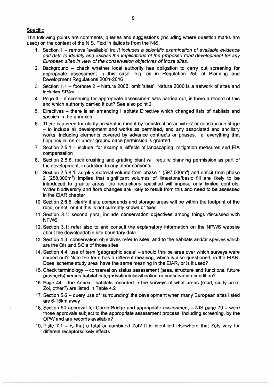#### Specific

The following points are comments, queries and suggestions (including where question marks are used) on the content of the NIS. Text in italics is from the NIS.

- 1. Section 1 remove 'available' in: It includes a scientific examination of available evidence and data to identify and assess the implications of the proposed road development for any European sites in view of the conservation objectives of those sites.
- 2. Background check whether local authority has obligation to carry out screening for appropriate assessment in this case, e.g. as in Regulation 250 of Planning and Development Regulations 2001-2016
- 3. Section 1.1 footnote 2 Natura 2000, omit 'sites'. Natura 2000 is a network of sites and includes SPAs
- 4. Page  $3 -$  if screening for appropriate assessment was carried out, is there a record of this and which authority carried it out? See also point 2
- 5. Directives there is an amending Habitats Directive which changed lists of habitats and species in the annexes
- 6. There is a need for clarity on what is meant by 'construction activities' or construction stage - to include all development and works as permitted, and any associated and ancillary works, including elements covered by advance contracts or phases, i.e. everything that happens in, on or under ground once permission is granted
- 7. Section 2.5.1 include, for example, effects of landscaping, mitigation measures and EIA compensation
- 8. Section 2.5.6: rock crushing and grading plant will require planning permission as part of the development, in addition to any other consents
- 9. Section 2.5.8.1: surplus material volume from phase 1 (597,000m<sup>3</sup>) and deficit from phase 2 (258,000m<sup>3</sup>) implies that significant volumes of limestone/basic fill are likely to be introduced to granite areas; the restrictions specified will impose only limited controls. Wider biodiversity and flora changes are likely to result from this and need to be assessed in the EIAR chapter
- 10. Section 2.6.5: clarify if site compounds and storage areas will be within the footprint of the road, or not, or if it this is not currently known or fixed
- 11. Section 3.1: second para, include conservation objectives among things discussed with **NPWS**
- 12. Section 3.1: refer also to and consult the explanatory information on the NPWS website about the downloadable site boundary data
- 13. Section 4.3: conservation objectives refer to sites, and to the habitats and/or species which are the QIs and SCIs of those sites
- 14. Section 4.4: use of term 'geographic scale' should this be area over which surveys were carried out? Note the term has a different meaning, which is also questioned, in the EIAR. Does 'scheme study area' have the same meaning in the EIAR, or is it used?
- 15. Check terminology conservation status assessment (area, structure and functions, future prospects) versus habitat categorisation/classification or conservation condition?
- 16. Page 44 the Annex I habitats recorded in the surveys of what areas (road, study area, Zol, other?) are listed in Table 4.2
- 17. Section 5.6 query use of 'surrounding' the development when many European sites listed are 6-15km away
- 18. Section 50 approval for Corrib Bridge and appropriate assessment NIS page 79 were those approvals subject to the appropriate assessment process, including screening, by the OPW and are records available?
- 19. Plate 7.1 is that a total or combined Zol? It is identified elsewhere that Zols vary for different receptors/likely effects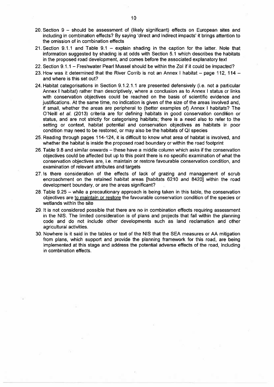- 20. Section 9 should be assessment of (likely significant) effects on European sites and including in combination effects? By saying 'direct and indirect impacts' it brings attention to the omission of in combination effects
- 21. Section  $9.1.1$  and Table  $9.1$  explain shading in the caption for the latter. Note that information suggested by shading is at odds with Section 5.1 which describes the habitats in the proposed road development, and comes before the associated explanatory text
- 22. Section 9.1.1 Freshwater Pearl Mussel should be within the Zol if it could be impacted?
- 23. How was it determined that the River Corrib is not an Annex I habitat  $-$  page 112, 114  $$ and where is this set out?
- 24. Habitat categorisations in Section 9.1.2.1.1 are presented defensively (i.e. not a particular Annex I habitat) rather than descriptively, where a conclusion as to Annex I status or links with conservation objectives could be reached on the basis of scientific evidence and justifications. At the same time, no indication is given of the size of the areas involved and, if small, whether the areas are peripheral to (better examples of) Annex I habitats? The O'Neill et al. (2013) criteria are for defining habitats in good conservation condition or status, and are not strictly for categorising habitats; there is a need also to refer to the setting or context, habitat potential and conservation objectives as habitats in poor condition may need to be restored, or may also be the habitats of QI species
- 25. Reading through pages 114-124, it is difficult to know what area of habitat is involved, and whether the habitat is inside the proposed road boundary or within the road footprint
- 26. Table 9.8 and similar onwards these have a middle column which asks if the conservation objectives could be affected but up to this point there is no specific examination of what the conservation objectives are, i.e. maintain or restore favourable conservation condition, and examination of relevant attributes and targets
- 27 Is there consideration of the effects of lack of grazing and management of scrub encroachment on the retained habitat areas [habitats 6210 and 8420] within the road development boundary, or are the areas significant?
- 28. Table 9.25 while a precautionary approach is being taken in this table, the conservation objectives are to maintain or restore the favourable conservation condition of the species or wetlands within the site
- 29. It is not considered possible that there are no in combination effects requiring assessment in the NIS. The limited consideration is of plans and projects that fall within the planning code and do not include other developments such as land reclamation and other agricultural activities.
- 30. Nowhere is it said in the tables or text of the NIS that the SEA measures or AA mitigation from plans, which support and provide the planning framework for this road, are being implemented at this stage and address the potential adverse effects of the road, including in combination effects.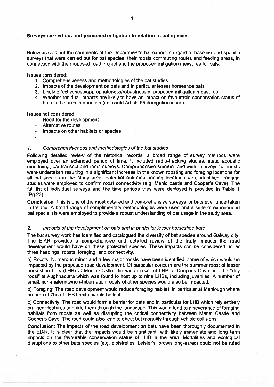#### Surveys carried out and proposed mitigation in relation to bat species

Below are set out the comments of the Department's bat expert in regard to baseline and specific surveys that were carried out for bat species, their roosts commuting routes and feeding areas, in connection with the proposed road project and the proposed mitigation measures for bats.

Issues considered:

- 1. Comprehensiveness and methodologies of the bat studies
- 2. Impacts of the development on bats and in particular lesser horseshoe bats
- 3. Likely effectiveness/appropriateness/robustness of proposed mitigation measures
- 4. Whether residual impacts are likely to have an impact on favourable conservation status of bats in the area in question (i.e. could Article 55 derogation issue)

Issues not considered:

- Need for the development  $\mathcal{L}^{\mathcal{L}}$
- Alternative routes
- Impacts on other habitats or species

#### $\mathbf{1}$ Comprehensiveness and methodologies of the bat studies

Following detailed review of the historical records, a broad range of survey methods were employed over an extended period of time. It included radio-tracking studies, static acoustic monitoring, car transect and roost surveys. Comprehensive summer and winter surveys for roosts were undertaken resulting in a significant increase in the known roosting and foraging locations for all bat species in the study area. Potential autumnal mating locations were identified. Ringing studies were employed to confirm roost connectivity (e.g. Menlo castle and Cooper's Cave). The full list of individual surveys and the time periods they were deployed is provided in Table 1 (Pg.22).

Conclusion: This is one of the most detailed and comprehensive surveys for bats ever undertaken in Ireland. A broad range of complimentary methodologies were used and a suite of experienced bat specialists were employed to provide a robust understanding of bat usage in the study area.

#### $2.$ Impacts of the development on bats and in particular lesser horseshoe bats

The bat survey work has identified and catalogued the diversity of bat species around Galway city. The EIAR provides a comprehensive and detailed review of the likely impacts the road development would have on these protected species. These impacts can be considered under three headings: roosts; foraging; and connectivity.

a) Roosts: Numerous minor and a few maior roosts have been identified, some of which would be impacted by the proposed road development. Of particular concern are the summer roost of lesser horseshoe bats (LHB) at Menlo Castle, the winter roost of LHB at Cooper's Cave and the "day roost" at Aughnacurra which was found to host up to nine LHBs, including juveniles. A number of small, non-maternity/non-hibernation roosts of other species would also be impacted.

b) Foraging: The road development would reduce foraging habitat, in particular at Menlough where an area of 7ha of LHB habitat would be lost.

c) Connectivity: The road would form a barrier for bats and in particular for LHB which rely entirely on linear features to quide them through the landscape. This would lead to a severance of foraging habitats from roosts as well as disrupting the critical connectivity between Menlo Castle and Cooper's Cave. The road could also lead to direct bat mortality through vehicle collisions.

Conclusion: The impacts of the road development on bats have been thoroughly documented in the EIAR. It is clear that the impacts would be significant, with likely immediate and long term impacts on the favourable conservation status of LHB in the area. Mortalities and ecological disruptions to other bats species (e.g. pipistrelles, Leisler's, brown long-eared) could not be ruled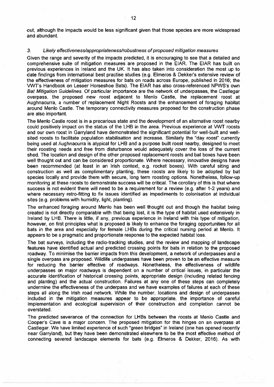out, although the impacts would be less significant given that those species are more widespread and abundant.

#### $3<sub>l</sub>$ Likely effectiveness/appropriateness/robustness of proposed mitigation measures

Given the range and severity of the impacts predicted, it is encouraging to see that a detailed and comprehensive suite of mitigation measures are proposed in the EIAR. The EIAR has built on previous experiences in Ireland and the UK. It has also taken into consideration the most up to date findings from international best practise studies (e.g. Elmeros & Dekker's extensive review of the effectiveness of mitigation measures for bats on roads across Europe, published in 2016; the VWT's Handbook on Lesser Horseshoe Bats). The EIAR has also cross-referenced NPWS's own Bat Mitigation Guidelines. Of particular importance are the network of underpasses, the Castlegar overpass, the proposed new roost adjacent to Menlo Castle, the replacement roost at Aughnacurra, a number of replacement Night Roosts and the enhancement of foraging habitat around Menlo Castle. The temporary connectivity measures proposed for the construction phase are also important.

The Menlo Castle roost is in a precarious state and the development of an alternative roost nearby could positively impact on the status of the LHB in the area. Previous experience at VWT roosts and our own roost in Garryland have demonstrated the significant potential for well-built and wellsited roosts to facilitate population stabilisation and increase. Similarly the "day roost" currently being used at Aughnacurra is atypical for LHB and a purpose built roost nearby, designed to meet their roosting needs and free from disturbance would adequately cover the loss of the current shed. The location and design of the other proposed replacement roosts and bat boxes have been well thought out and can be considered proportionate. Where necessary, innovative designs have been recommended (at least in an Irish context, e.g. rocket boxes). With careful siting and construction as well as complimentary planting, these roosts are likely to be adopted by bat species locally and provide them with secure, long term roosting options. Nonetheless, follow-up monitoring at these roosts to demonstrate success will be critical. The corollary of this is that where success is not evident there will need to be a requirement for a review (e.g. after 1-2 years) and where necessary retro-fitting to fix issues identified as impediments to colonisation at individual sites (e.g. problems with humidity, light, planting).

The enhanced foraging around Menlo has been well thought out and though the habitat being created is not directly comparable with that being lost, it is the type of habitat used extensively in Ireland by LHB. There is little, if any, previous experience in Ireland with this type of mitigation, however, on first principles what is proposed is likely to enhance the foraging opportunities for all bats in the area and especially for female LHBs during the critical nursing period at Menlo. It appears to be a pragmatic and proportionate response to the expected habitat loss.

The bat surveys, including the radio-tracking studies, and the review and mapping of landscape features have identified actual and predicted crossing points for bats in relation to the proposed roadway. To minimise the barrier impacts from this development, a network of underpasses and a single overpass are proposed. Wildlife underpasses have been proven to be an effective measure for reducing the barrier effective of roadways. Nonetheless, the effectiveness of wildlife underpasses on major roadways is dependent on a number of critical issues, in particular the accurate identification of historical crossing points, appropriate design (including related fencing and planting) and the actual construction. Failures at any one of these steps can completely undermine the effectiveness of the underpass and we have examples of failures at each of these steps all along the Irish road network. While the number, locations and design of underpasses included in the mitigation measures appear to be appropriate, the importance of careful. implementation and ecological supervision of their construction and completion cannot be overstated.

The predicted severance of the connection for LHBs between the roosts at Menlo Castle and Cooper's Cave is a major concern. The proposed mitigation for this hinges on an overpass at Castlegar. We have limited experience of such "green bridges" in Ireland (one has opened recently near Garryland), but they have been demonstrated elsewhere to be the most effective method of connecting severed landscape elements for bats (e.g. Elmeros & Dekker, 2016). As with